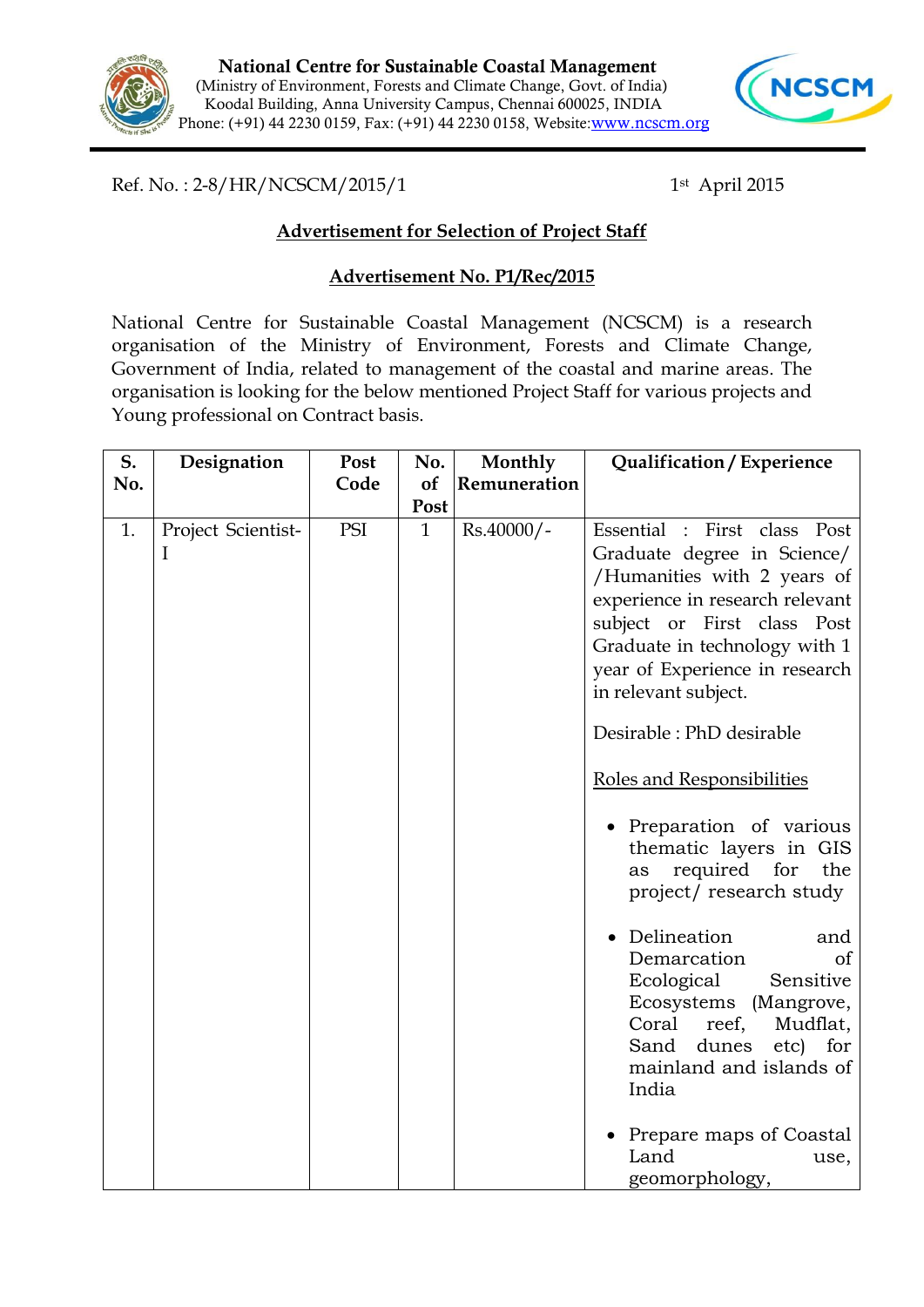



Ref. No.: 2-8/HR/NCSCM/2015/1

1st April 2015

## **Advertisement for Selection of Project Staff**

## **Advertisement No. P1/Rec/2015**

National Centre for Sustainable Coastal Management (NCSCM) is a research organisation of the Ministry of Environment, Forests and Climate Change, Government of India, related to management of the coastal and marine areas. The organisation is looking for the below mentioned Project Staff for various projects and Young professional on Contract basis.

| Post                              |              | Monthly      | Qualification / Experience                                                                                                                                                                                                                                                                                                                                                                                                                                                                                                                                                                                                                                                             |
|-----------------------------------|--------------|--------------|----------------------------------------------------------------------------------------------------------------------------------------------------------------------------------------------------------------------------------------------------------------------------------------------------------------------------------------------------------------------------------------------------------------------------------------------------------------------------------------------------------------------------------------------------------------------------------------------------------------------------------------------------------------------------------------|
| Code                              | <b>of</b>    | Remuneration |                                                                                                                                                                                                                                                                                                                                                                                                                                                                                                                                                                                                                                                                                        |
|                                   | Post         |              |                                                                                                                                                                                                                                                                                                                                                                                                                                                                                                                                                                                                                                                                                        |
| PSI                               | $\mathbf{1}$ | Rs.40000/-   | Essential<br>$:$ First<br>class<br>Post<br>Graduate degree in Science/<br>/Humanities with 2 years of<br>experience in research relevant<br>subject or First class Post<br>Graduate in technology with 1<br>year of Experience in research<br>in relevant subject.<br>Desirable : PhD desirable<br>Roles and Responsibilities<br>• Preparation of various<br>thematic layers in GIS<br>required for<br>the<br>as<br>project/research study<br>Delineation<br>and<br>Demarcation<br>of<br>Ecological<br>Sensitive<br>Ecosystems (Mangrove,<br>Coral<br>reef,<br>Mudflat,<br>dunes<br>Sand<br>etc)<br>for<br>mainland and islands of<br>India<br>Prepare maps of Coastal<br>Land<br>use, |
| Designation<br>Project Scientist- |              |              | No.                                                                                                                                                                                                                                                                                                                                                                                                                                                                                                                                                                                                                                                                                    |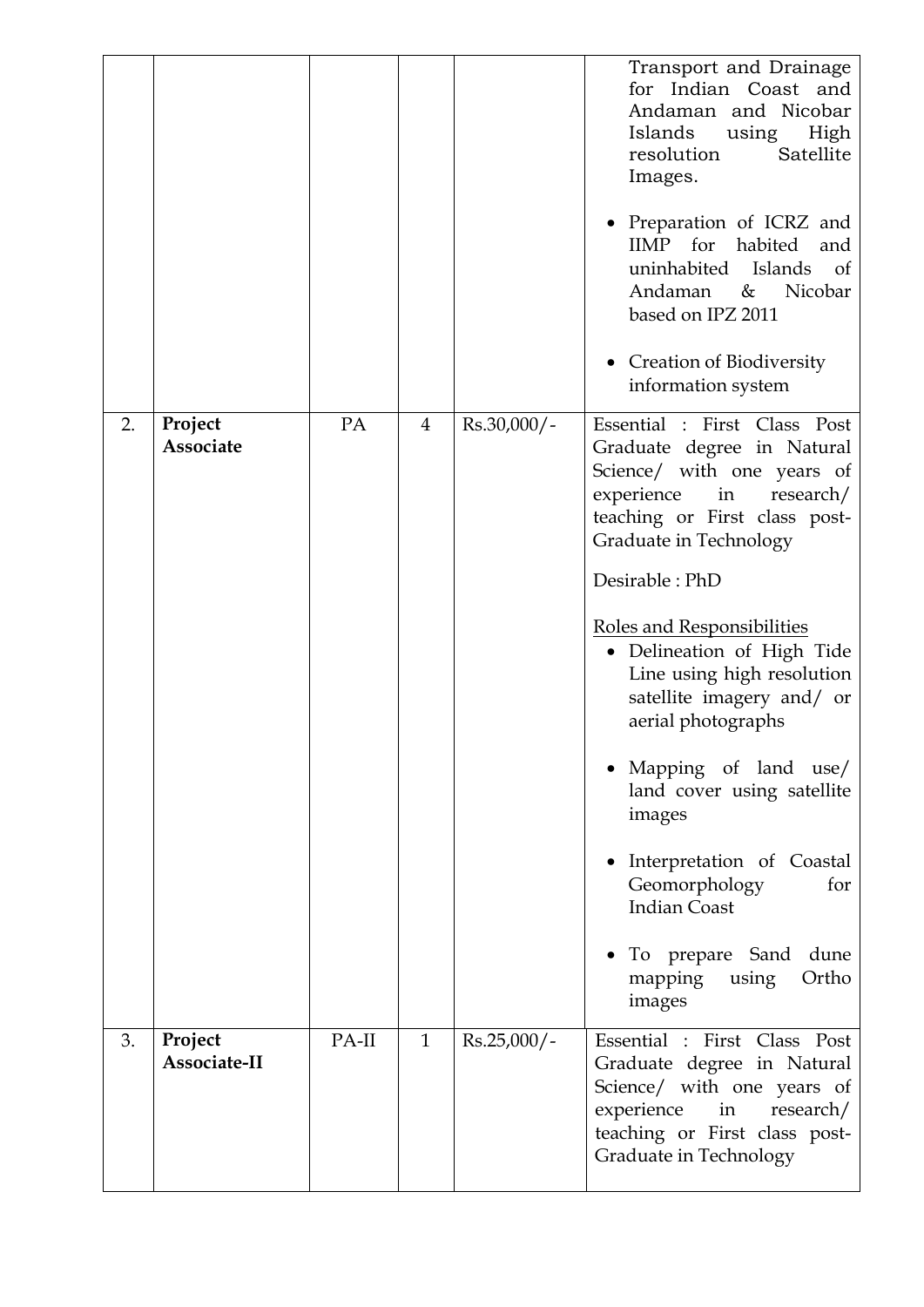|    |                         |       |                |               | Transport and Drainage<br>for Indian Coast and<br>Andaman and Nicobar<br>Islands<br>using<br>High<br>Satellite<br>resolution<br>Images.<br>• Preparation of ICRZ and<br>for<br><b>IIMP</b><br>habited<br>and<br>uninhabited Islands<br>of<br>Andaman<br>Nicobar<br>&<br>based on IPZ 2011<br>• Creation of Biodiversity<br>information system                                                                                                                                                                                                                     |
|----|-------------------------|-------|----------------|---------------|-------------------------------------------------------------------------------------------------------------------------------------------------------------------------------------------------------------------------------------------------------------------------------------------------------------------------------------------------------------------------------------------------------------------------------------------------------------------------------------------------------------------------------------------------------------------|
| 2. | Project<br>Associate    | PA    | $\overline{4}$ | $Rs.30,000/-$ | Essential : First Class Post<br>Graduate degree in Natural<br>Science/ with one years of<br>experience<br>in<br>research/<br>teaching or First class post-<br>Graduate in Technology<br>Desirable: PhD<br>Roles and Responsibilities<br>· Delineation of High Tide<br>Line using high resolution<br>satellite imagery and/ or<br>aerial photographs<br>Mapping of land use/<br>land cover using satellite<br>images<br>Interpretation of Coastal<br>Geomorphology<br>for<br><b>Indian Coast</b><br>To prepare Sand<br>dune<br>Ortho<br>mapping<br>using<br>images |
| 3. | Project<br>Associate-II | PA-II | $\mathbf{1}$   | $Rs.25,000/-$ | Essential : First Class Post<br>Graduate degree in Natural<br>Science/ with one years of<br>experience<br>in<br>research/<br>teaching or First class post-<br>Graduate in Technology                                                                                                                                                                                                                                                                                                                                                                              |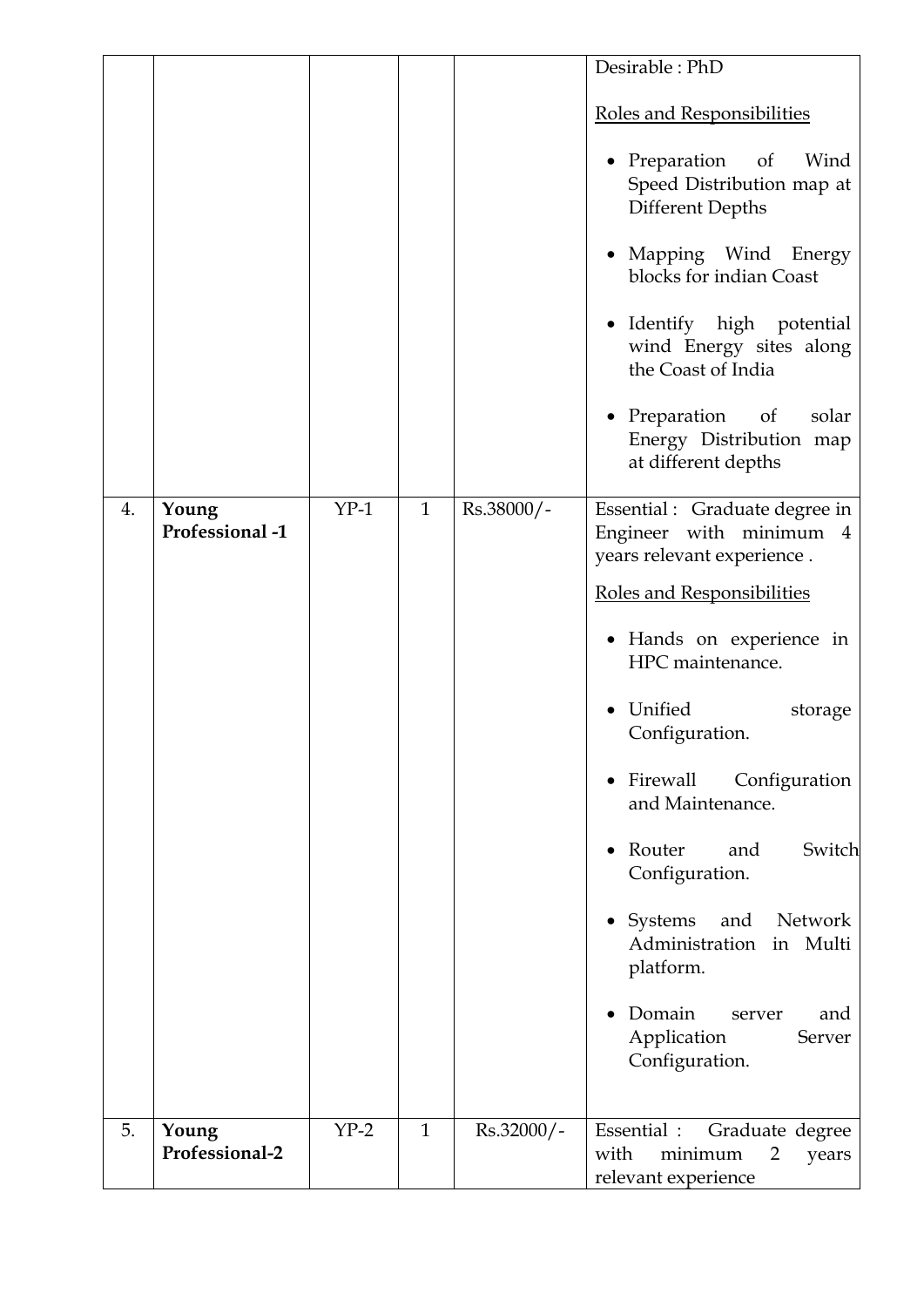|    |                          |        |              |            | Desirable: PhD                                                                                                                                                                                                                                                                                                                                                                                                                                               |
|----|--------------------------|--------|--------------|------------|--------------------------------------------------------------------------------------------------------------------------------------------------------------------------------------------------------------------------------------------------------------------------------------------------------------------------------------------------------------------------------------------------------------------------------------------------------------|
|    |                          |        |              |            | Roles and Responsibilities<br>• Preparation of<br>Wind<br>Speed Distribution map at<br><b>Different Depths</b><br>Mapping Wind Energy<br>blocks for indian Coast<br>• Identify high potential<br>wind Energy sites along<br>the Coast of India                                                                                                                                                                                                               |
|    |                          |        |              |            | • Preparation of<br>solar<br>Energy Distribution map<br>at different depths                                                                                                                                                                                                                                                                                                                                                                                  |
| 4. | Young<br>Professional -1 | $YP-1$ | $\mathbf{1}$ | Rs.38000/- | Essential : Graduate degree in<br>Engineer with minimum 4<br>years relevant experience.<br><b>Roles and Responsibilities</b><br>• Hands on experience in<br>HPC maintenance.<br>Unified<br>storage<br>Configuration.<br>• Firewall Configuration<br>and Maintenance.<br>Router<br>Switch<br>and<br>Configuration.<br>Systems<br>and<br>Network<br>Administration in Multi<br>platform.<br>Domain<br>and<br>server<br>Application<br>Server<br>Configuration. |
| 5. | Young<br>Professional-2  | $YP-2$ | $\mathbf{1}$ | Rs.32000/- | Essential : Graduate degree<br>with<br>minimum<br>2<br>years<br>relevant experience                                                                                                                                                                                                                                                                                                                                                                          |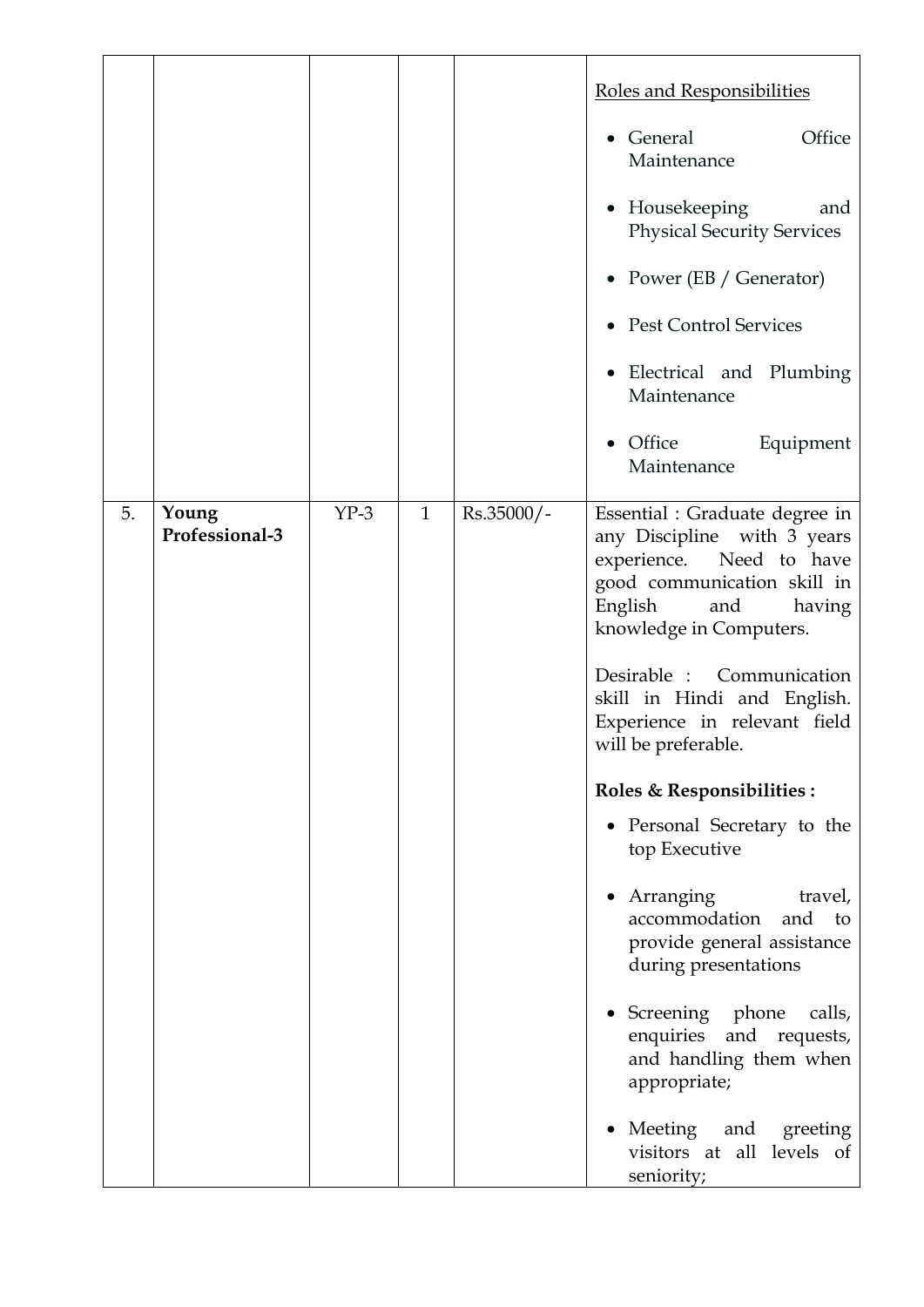|    |                         |        |              |              | Roles and Responsibilities<br>General<br>Office<br>Maintenance<br>• Housekeeping<br>and<br><b>Physical Security Services</b><br>• Power $(EB / Generator)$<br>• Pest Control Services<br>Electrical and Plumbing<br>Maintenance<br>Office<br>Equipment<br>$\bullet$<br>Maintenance                                                                                                                                                                                                                                                                                                                                                                                        |
|----|-------------------------|--------|--------------|--------------|---------------------------------------------------------------------------------------------------------------------------------------------------------------------------------------------------------------------------------------------------------------------------------------------------------------------------------------------------------------------------------------------------------------------------------------------------------------------------------------------------------------------------------------------------------------------------------------------------------------------------------------------------------------------------|
| 5. | Young<br>Professional-3 | $YP-3$ | $\mathbf{1}$ | $Rs.35000/-$ | Essential : Graduate degree in<br>any Discipline with 3 years<br>experience.<br>Need to have<br>good communication skill in<br>English<br>having<br>and<br>knowledge in Computers.<br>Desirable :<br>Communication<br>skill in Hindi and English.<br>Experience in relevant field<br>will be preferable.<br>Roles & Responsibilities :<br>• Personal Secretary to the<br>top Executive<br>Arranging<br>travel,<br>accommodation<br>and to<br>provide general assistance<br>during presentations<br>• Screening phone<br>calls,<br>enquiries<br>and requests,<br>and handling them when<br>appropriate;<br>Meeting and greeting<br>visitors at all levels of<br>seniority; |